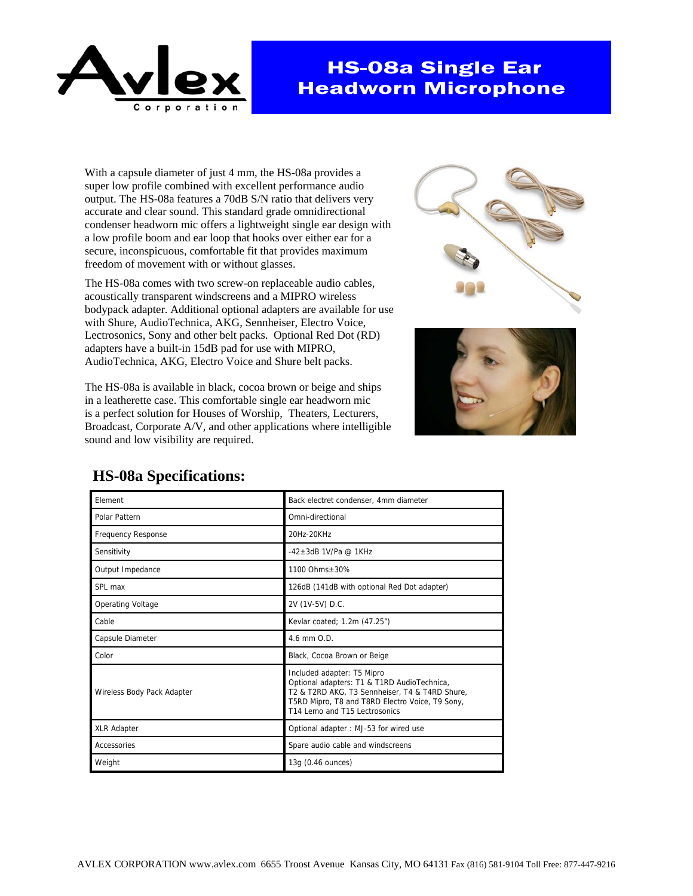

## **HS-08a Single Ear Headworn Microphone**

With a capsule diameter of just 4 mm, the HS-08a provides a super low profile combined with excellent performance audio output. The HS-08a features a 70dB S/N ratio that delivers very accurate and clear sound. This standard grade omnidirectional condenser headworn mic offers a lightweight single ear design with a low profile boom and ear loop that hooks over either ear for a secure, inconspicuous, comfortable fit that provides maximum freedom of movement with or without glasses.

The HS-08a comes with two screw-on replaceable audio cables, acoustically transparent windscreens and a MIPRO wireless bodypack adapter. Additional optional adapters are available for use with Shure, AudioTechnica, AKG, Sennheiser, Electro Voice, Lectrosonics, Sony and other belt packs. Optional Red Dot (RD) adapters have a built-in 15dB pad for use with MIPRO, AudioTechnica, AKG, Electro Voice and Shure belt packs.

The HS-08a is available in black, cocoa brown or beige and ships in a leatherette case. This comfortable single ear headworn mic is a perfect solution for Houses of Worship, Theaters, Lecturers, Broadcast, Corporate A/V, and other applications where intelligible sound and low visibility are required.





| Element                    | Back electret condenser, 4mm diameter                                                                                                                                                                           |
|----------------------------|-----------------------------------------------------------------------------------------------------------------------------------------------------------------------------------------------------------------|
| Polar Pattern              | Omni-directional                                                                                                                                                                                                |
| <b>Frequency Response</b>  | 20Hz-20KHz                                                                                                                                                                                                      |
| Sensitivity                | $-42+3$ dB 1V/Pa @ 1KHz                                                                                                                                                                                         |
| Output Impedance           | 1100 Ohms+30%                                                                                                                                                                                                   |
| SPL max                    | 126dB (141dB with optional Red Dot adapter)                                                                                                                                                                     |
| <b>Operating Voltage</b>   | 2V (1V-5V) D.C.                                                                                                                                                                                                 |
| Cable                      | Kevlar coated; 1.2m (47.25")                                                                                                                                                                                    |
| Capsule Diameter           | 4.6 mm O.D.                                                                                                                                                                                                     |
| Color                      | Black, Cocoa Brown or Beige                                                                                                                                                                                     |
| Wireless Body Pack Adapter | Included adapter: T5 Mipro<br>Optional adapters: T1 & T1RD AudioTechnica,<br>T2 & T2RD AKG, T3 Sennheiser, T4 & T4RD Shure,<br>T5RD Mipro, T8 and T8RD Electro Voice, T9 Sony,<br>T14 Lemo and T15 Lectrosonics |
| <b>XLR Adapter</b>         | Optional adapter: MJ-53 for wired use                                                                                                                                                                           |
| Accessories                | Spare audio cable and windscreens                                                                                                                                                                               |
| Weight                     | 13g (0.46 ounces)                                                                                                                                                                                               |

## **HS-08a Specifications:**